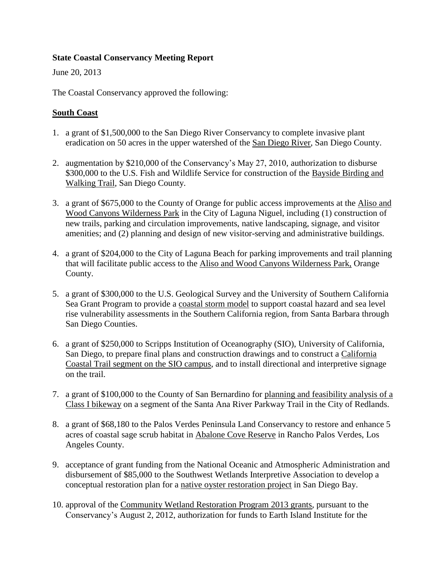### **State Coastal Conservancy Meeting Report**

June 20, 2013

The Coastal Conservancy approved the following:

### **South Coast**

- 1. a grant of \$1,500,000 to the San Diego River Conservancy to complete invasive plant eradication on 50 acres in the upper watershed of the San Diego River, San Diego County.
- 2. augmentation by \$210,000 of the Conservancy's May 27, 2010, authorization to disburse \$300,000 to the U.S. Fish and Wildlife Service for construction of the Bayside Birding and Walking Trail, San Diego County.
- 3. a grant of \$675,000 to the County of Orange for public access improvements at the Aliso and Wood Canyons Wilderness Park in the City of Laguna Niguel, including (1) construction of new trails, parking and circulation improvements, native landscaping, signage, and visitor amenities; and (2) planning and design of new visitor-serving and administrative buildings.
- 4. a grant of \$204,000 to the City of Laguna Beach for parking improvements and trail planning that will facilitate public access to the Aliso and Wood Canyons Wilderness Park, Orange County.
- 5. a grant of \$300,000 to the U.S. Geological Survey and the University of Southern California Sea Grant Program to provide a coastal storm model to support coastal hazard and sea level rise vulnerability assessments in the Southern California region, from Santa Barbara through San Diego Counties.
- 6. a grant of \$250,000 to Scripps Institution of Oceanography (SIO), University of California, San Diego, to prepare final plans and construction drawings and to construct a California Coastal Trail segment on the SIO campus, and to install directional and interpretive signage on the trail.
- 7. a grant of \$100,000 to the County of San Bernardino for planning and feasibility analysis of a Class I bikeway on a segment of the Santa Ana River Parkway Trail in the City of Redlands.
- 8. a grant of \$68,180 to the Palos Verdes Peninsula Land Conservancy to restore and enhance 5 acres of coastal sage scrub habitat in Abalone Cove Reserve in Rancho Palos Verdes, Los Angeles County.
- 9. acceptance of grant funding from the National Oceanic and Atmospheric Administration and disbursement of \$85,000 to the Southwest Wetlands Interpretive Association to develop a conceptual restoration plan for a native oyster restoration project in San Diego Bay.
- 10. approval of the Community Wetland Restoration Program 2013 grants, pursuant to the Conservancy's August 2, 2012, authorization for funds to Earth Island Institute for the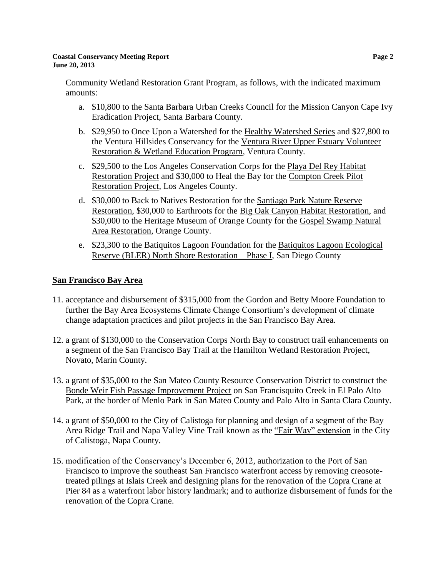#### **Coastal Conservancy Meeting Report Page 2 June 20, 2013**

Community Wetland Restoration Grant Program, as follows, with the indicated maximum amounts:

- a. \$10,800 to the Santa Barbara Urban Creeks Council for the Mission Canyon Cape Ivy Eradication Project, Santa Barbara County.
- b. \$29,950 to Once Upon a Watershed for the Healthy Watershed Series and \$27,800 to the Ventura Hillsides Conservancy for the Ventura River Upper Estuary Volunteer Restoration & Wetland Education Program, Ventura County.
- c. \$29,500 to the Los Angeles Conservation Corps for the Playa Del Rey Habitat Restoration Project and \$30,000 to Heal the Bay for the Compton Creek Pilot Restoration Project, Los Angeles County.
- d. \$30,000 to Back to Natives Restoration for the Santiago Park Nature Reserve Restoration, \$30,000 to Earthroots for the Big Oak Canyon Habitat Restoration, and \$30,000 to the Heritage Museum of Orange County for the Gospel Swamp Natural Area Restoration, Orange County.
- e. \$23,300 to the Batiquitos Lagoon Foundation for the Batiquitos Lagoon Ecological Reserve (BLER) North Shore Restoration – Phase I, San Diego County

# **San Francisco Bay Area**

- 11. acceptance and disbursement of \$315,000 from the Gordon and Betty Moore Foundation to further the Bay Area Ecosystems Climate Change Consortium's development of climate change adaptation practices and pilot projects in the San Francisco Bay Area.
- 12. a grant of \$130,000 to the Conservation Corps North Bay to construct trail enhancements on a segment of the San Francisco Bay Trail at the Hamilton Wetland Restoration Project, Novato, Marin County.
- 13. a grant of \$35,000 to the San Mateo County Resource Conservation District to construct the Bonde Weir Fish Passage Improvement Project on San Francisquito Creek in El Palo Alto Park, at the border of Menlo Park in San Mateo County and Palo Alto in Santa Clara County.
- 14. a grant of \$50,000 to the City of Calistoga for planning and design of a segment of the Bay Area Ridge Trail and Napa Valley Vine Trail known as the "Fair Way" extension in the City of Calistoga, Napa County.
- 15. modification of the Conservancy's December 6, 2012, authorization to the Port of San Francisco to improve the southeast San Francisco waterfront access by removing creosotetreated pilings at Islais Creek and designing plans for the renovation of the Copra Crane at Pier 84 as a waterfront labor history landmark; and to authorize disbursement of funds for the renovation of the Copra Crane.